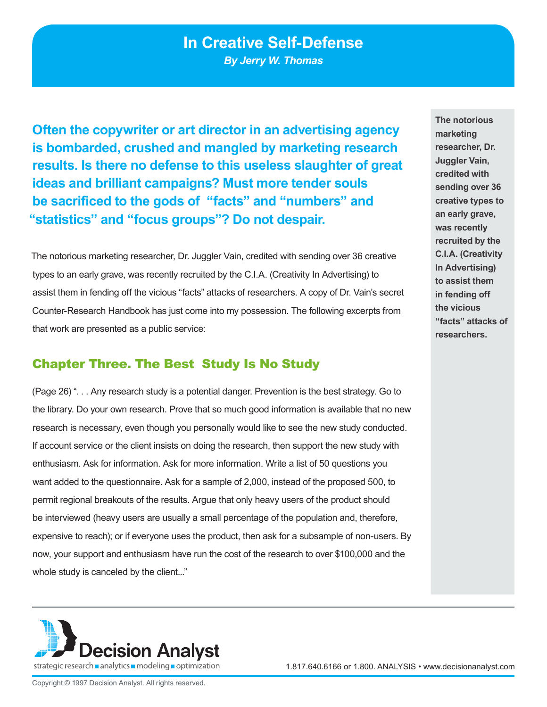# **In Creative Self-Defense**

*By Jerry W. Thomas*

**Often the copywriter or art director in an advertising agency is bombarded, crushed and mangled by marketing research results. Is there no defense to this useless slaughter of great ideas and brilliant campaigns? Must more tender souls be sacrificed to the gods of "facts" and "numbers" and "statistics" and "focus groups"? Do not despair.** 

The notorious marketing researcher, Dr. Juggler Vain, credited with sending over 36 creative types to an early grave, was recently recruited by the C.I.A. (Creativity In Advertising) to assist them in fending off the vicious "facts" attacks of researchers. A copy of Dr. Vain's secret Counter-Research Handbook has just come into my possession. The following excerpts from that work are presented as a public service:

#### Chapter Three. The Best Study Is No Study

(Page 26) ". . . Any research study is a potential danger. Prevention is the best strategy. Go to the library. Do your own research. Prove that so much good information is available that no new research is necessary, even though you personally would like to see the new study conducted. If account service or the client insists on doing the research, then support the new study with enthusiasm. Ask for information. Ask for more information. Write a list of 50 questions you want added to the questionnaire. Ask for a sample of 2,000, instead of the proposed 500, to permit regional breakouts of the results. Argue that only heavy users of the product should be interviewed (heavy users are usually a small percentage of the population and, therefore, expensive to reach); or if everyone uses the product, then ask for a subsample of non-users. By now, your support and enthusiasm have run the cost of the research to over \$100,000 and the whole study is canceled by the client..."





1.817.640.6166 or 1.800. ANALYSIS • www.decisionanalyst.com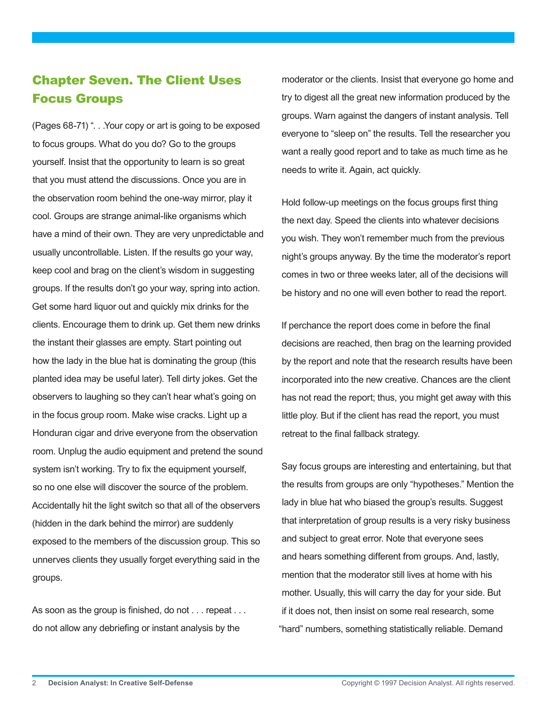## Chapter Seven. The Client Uses Focus Groups

(Pages 68-71) ". . .Your copy or art is going to be exposed to focus groups. What do you do? Go to the groups yourself. Insist that the opportunity to learn is so great that you must attend the discussions. Once you are in the observation room behind the one-way mirror, play it cool. Groups are strange animal-like organisms which have a mind of their own. They are very unpredictable and usually uncontrollable. Listen. If the results go your way, keep cool and brag on the client's wisdom in suggesting groups. If the results don't go your way, spring into action. Get some hard liquor out and quickly mix drinks for the clients. Encourage them to drink up. Get them new drinks the instant their glasses are empty. Start pointing out how the lady in the blue hat is dominating the group (this planted idea may be useful later). Tell dirty jokes. Get the observers to laughing so they can't hear what's going on in the focus group room. Make wise cracks. Light up a Honduran cigar and drive everyone from the observation room. Unplug the audio equipment and pretend the sound system isn't working. Try to fix the equipment yourself, so no one else will discover the source of the problem. Accidentally hit the light switch so that all of the observers (hidden in the dark behind the mirror) are suddenly exposed to the members of the discussion group. This so unnerves clients they usually forget everything said in the groups.

As soon as the group is finished, do not . . . repeat . . . do not allow any debriefing or instant analysis by the

moderator or the clients. Insist that everyone go home and try to digest all the great new information produced by the groups. Warn against the dangers of instant analysis. Tell everyone to "sleep on" the results. Tell the researcher you want a really good report and to take as much time as he needs to write it. Again, act quickly.

Hold follow-up meetings on the focus groups first thing the next day. Speed the clients into whatever decisions you wish. They won't remember much from the previous night's groups anyway. By the time the moderator's report comes in two or three weeks later, all of the decisions will be history and no one will even bother to read the report.

If perchance the report does come in before the final decisions are reached, then brag on the learning provided by the report and note that the research results have been incorporated into the new creative. Chances are the client has not read the report; thus, you might get away with this little ploy. But if the client has read the report, you must retreat to the final fallback strategy.

Say focus groups are interesting and entertaining, but that the results from groups are only "hypotheses." Mention the lady in blue hat who biased the group's results. Suggest that interpretation of group results is a very risky business and subject to great error. Note that everyone sees and hears something different from groups. And, lastly, mention that the moderator still lives at home with his mother. Usually, this will carry the day for your side. But if it does not, then insist on some real research, some "hard" numbers, something statistically reliable. Demand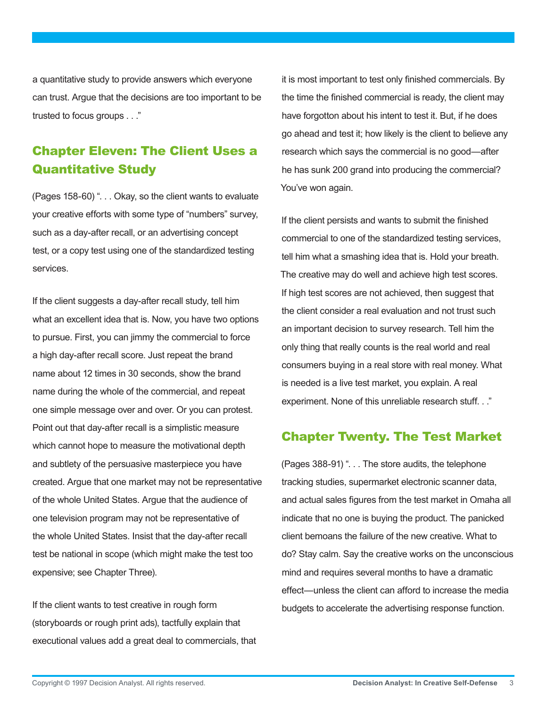a quantitative study to provide answers which everyone can trust. Argue that the decisions are too important to be trusted to focus groups . . ."

## Chapter Eleven: The Client Uses a Quantitative Study

(Pages 158-60) ". . . Okay, so the client wants to evaluate your creative efforts with some type of "numbers" survey, such as a day-after recall, or an advertising concept test, or a copy test using one of the standardized testing services.

If the client suggests a day-after recall study, tell him what an excellent idea that is. Now, you have two options to pursue. First, you can jimmy the commercial to force a high day-after recall score. Just repeat the brand name about 12 times in 30 seconds, show the brand name during the whole of the commercial, and repeat one simple message over and over. Or you can protest. Point out that day-after recall is a simplistic measure which cannot hope to measure the motivational depth and subtlety of the persuasive masterpiece you have created. Argue that one market may not be representative of the whole United States. Argue that the audience of one television program may not be representative of the whole United States. Insist that the day-after recall test be national in scope (which might make the test too expensive; see Chapter Three).

If the client wants to test creative in rough form (storyboards or rough print ads), tactfully explain that executional values add a great deal to commercials, that

it is most important to test only finished commercials. By the time the finished commercial is ready, the client may have forgotton about his intent to test it. But, if he does go ahead and test it; how likely is the client to believe any research which says the commercial is no good—after he has sunk 200 grand into producing the commercial? You've won again.

If the client persists and wants to submit the finished commercial to one of the standardized testing services, tell him what a smashing idea that is. Hold your breath. The creative may do well and achieve high test scores. If high test scores are not achieved, then suggest that the client consider a real evaluation and not trust such an important decision to survey research. Tell him the only thing that really counts is the real world and real consumers buying in a real store with real money. What is needed is a live test market, you explain. A real experiment. None of this unreliable research stuff. . ."

#### Chapter Twenty. The Test Market

(Pages 388-91) ". . . The store audits, the telephone tracking studies, supermarket electronic scanner data, and actual sales figures from the test market in Omaha all indicate that no one is buying the product. The panicked client bemoans the failure of the new creative. What to do? Stay calm. Say the creative works on the unconscious mind and requires several months to have a dramatic effect—unless the client can afford to increase the media budgets to accelerate the advertising response function.